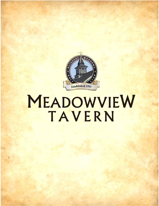

# MEADOWVIEW TAVERN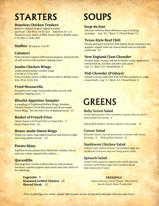### **STARTERS**

### **Boneless Chicken Tenders**

Boneless chicken tenders lightly breaded and fried 5 for \$9 or 10 for \$16 Add Fries for 1.5 Tossed in your choice of BBQ, Sweet Chili or Buffalo Sauce 5 for \$10 or 10 for \$18

### **Stuffies** \$4 each or 2 for \$7

### **Calamari**

Fried calamari topped with banana peppers, drizzled with oil and served with marinara dipping sauce

### **Jumbo Chicken Wings**

Golden brown jumbo chicken wings 6 for \$8 or 12 for \$14 Tossed in your choice of BBQ, Sweet Chili or Buffalo Sauce 6 for \$9 or 12 for \$16

### **Fried Mozzarella**

Six golden and crispy mozzarella sticks, served with marinara dipping sauce 7

### **Blissful Appetizer Sampler**

A sampling of Traditional Buffalo Wings, Boneless Chicken Tenders, Fried Mozzarella and House-made Onion Rings. Served with a trio of dipping sauces 15

### **Basket of French Fries**

Classic house-cut French fries or Cajun fries 5 Sweet Potato Fries 6.5

### **House-made Onion Rings**

Thinly cut onion rings lightly battered and fried to a light and crispy golden brown 6.5

### **Potato Skins**

4 golden brown potato skins filled with cheddar, bacon, and sour cream, topped with scallions

### **Quesadilla**

One large flour tortilla stuffed with our cheese blend, tomatoes, sautéed peppers and onions and your choice of the following:

> **Vegetable** 9 **Seasoned Grilled Chicken** 10 **Shaved Steak** 12

## **SOUPS**

### **Soup du Jour**

Ask your waitress what delicious soup is cooking up today! Cup 3.5 / Bowl 5 / Bread Boule 6.5

### **Texas-Style Beef Chili**

Hearty and spicy beef chili with kidney beans, tomatoes and peppers, topped with our cheese blend and served with cornbread 6.5

### **New England Clam Chowder**

Freshly made, creamy and full of tender clams, Applewood smoked bacon, red bliss potatoes and spices. Cup 5 / Bowl 6.5 / Bread Boule 8

### **Fish Chowder (Fridays)**

Chunks of fresh white fish with red bliss potatoes in a light cream broth Cup 5 / Bowl 6.5 / Bread Boule 8

### **GREENS**

### **Baby Green Salad**

Fresh baby greens with cucumber, tomato, shaved carrot and pickled red onions 6

Add grilled chicken, chicken salad or tuna salad 10

### **Caesar Salad**

Romaine hearts, shaved parmesan, croutons and Caesar dressing 8 With grilled chicken 12

### **Southwest Chicken Salad**

Grilled Cajun chicken breast, hard-boiled eggs and cornbread croutons atop our baby green salad

### **Spinach Salad**

Tender baby spinach topped with sliced almonds, craisins, hard-boiled eggs and crumbled bacon. Add chicken for \$ more

#### **DRESSINGS**

*House Balsamic, Oil & Vinegar, Bleu Cheese, Ranch, Sweet Onion Vinaigrette*

Prior to placing your order, please inform your server of any food allergies that you may have.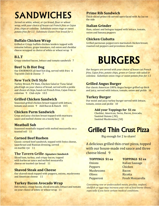### **SANDWICHES**

*Served on white, wheat, or rye bread, flour or wheat wrap, with your choice of house-cut French fries or Cajun fries, chips or coleslaw. Substitute onion rings or sweet potato fries for 1.5 Substitute Gluten Free bread for 1.*

### **Buffalo Chicken Wrap**

Grilled or Crispy buffalo chicken tenders topped with romaine lettuce, grape tomatoes, red onion and cheddar cheese wrapped in choice of white or wheat wrap 9

### **B.L.T**

Crispy smoked bacon, lettuce and tomato sandwich 7

### **Beef ¼ lb Hot Dog**

Our ENORMOUS all-beef hot dog, served with fries 6 Top with Chili & Cheese 7

### **New York Deli Style**

Turkey Breast, Pit Ham, Chicken Salad or Tuna Salad piled high on your choice of bread, served with a pickle and choice of chips, hand-cut French fries, Cajun fries or coleslaw 9 Club-style 10.5

### **Grilled Chicken Sandwich**

Seasoned grilled chicken breast topped with lettuce, tomato and onion 9 Add Bacon & Ranch 10.5

### **Chicken Parm Sandwich**

Crisp and juicy chicken breast topped with marinara sauce and melted cheese on a toasty bun 11

### **Meatball Sub**

Seasoned meatballs topped with melted mozzarella on a toasted roll 11

### **Corned Beef Rueben**

Classic corned beef sandwich, topped with Swiss cheese, sauerkraut and Russian dressing, served on marble rye 11

#### **The Tavern Grille***- Signature Sandwich*

Sliced ham, turkey, and crispy bacon, topped with barbecue sauce and melted mozzarella cheese on toasted rye bread 11

### **Shaved Steak and Cheese**

Our shaved steak topped with peppers, onions, mushrooms and American cheese 11

### **Turkey Bacon Avocado Wrap**

Deli turkey, crispy bacon, sliced avocado, lettuce and tomato on your choice of white or wheat wrap 11

### **Prime Rib Sandwich**

Thick-sliced prime rib served open-faced with Au Jus on the side

### **Italian Grinder**

Ham, salami and bologna topped with lettuce, tomato, onion and banana peppers

### **Chicken Ciabatta**

Grilled parmesan peppercorn marinated chicken breast, roasted red peppers and provolone cheese

### BURGERS

*Our burgers are served with your choice of house-cut French fries, Cajun fries, potato chips, green or Caesar side salad or coleslaw. Substitute onion rings or sweet potato fries for 1.5* 

### **Grilled Angus Burger**

Our classic American 100% Angus burger grilled up thick and juicy, served with lettuce, tomato, onion and pickle 10

### **Turkey Burger**

Our moist and juicy turkey burger served with lettuce, tomato, onion and pickle 10

#### **Add your Toppings for \$1 ea**

Cheddar, American, Swiss, Bacon, Avocado, Sautéed Onions (.50), Sautéed Mushrooms (.50)

### Grilled Thin Crust Pizza

Big enough for 2 to share!

A delicious grilled thin crust pizza, topped with our house-made red sauce and three cheese blend 9

| <b>TOPPINGS \$1 ea</b> | <b>TOPPINGS \$2 ea</b>  |
|------------------------|-------------------------|
| <b>Onions</b>          | <b>Italian Sausage</b>  |
| <b>Peppers</b>         | Chicken                 |
| <b>Mushrooms</b>       | <b>Bacon</b>            |
| <b>Olives</b>          | Ricotta                 |
| Pepperoni              | <b>Fresh Mozzarella</b> |

*Consuming raw or undercooked meats, poultry, seafood, shellfish or eggs may increase your risk of food borne illness, especially if you have certain medical conditions.*